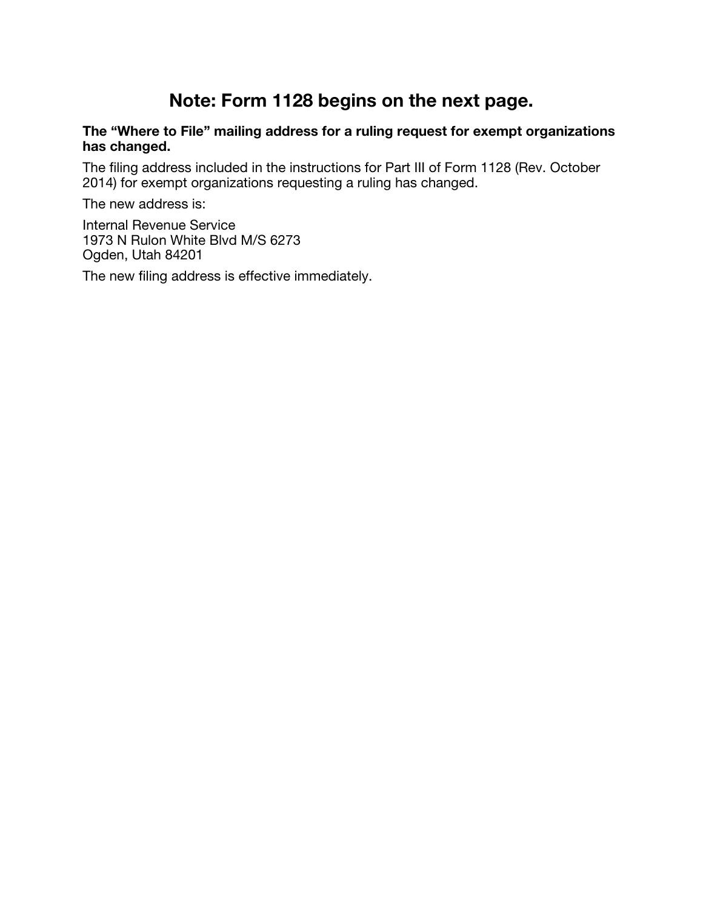## Note: Form 1128 begins on the next page.

## The "Where to File" mailing address for a ruling request for exempt organizations has changed.

The filing address included in the instructions for Part III of Form 1128 (Rev. October 2014) for exempt organizations requesting a ruling has changed.

The new address is:

Internal Revenue Service 1973 N Rulon White Blvd M/S 6273 Ogden, Utah 84201

The new filing address is effective immediately.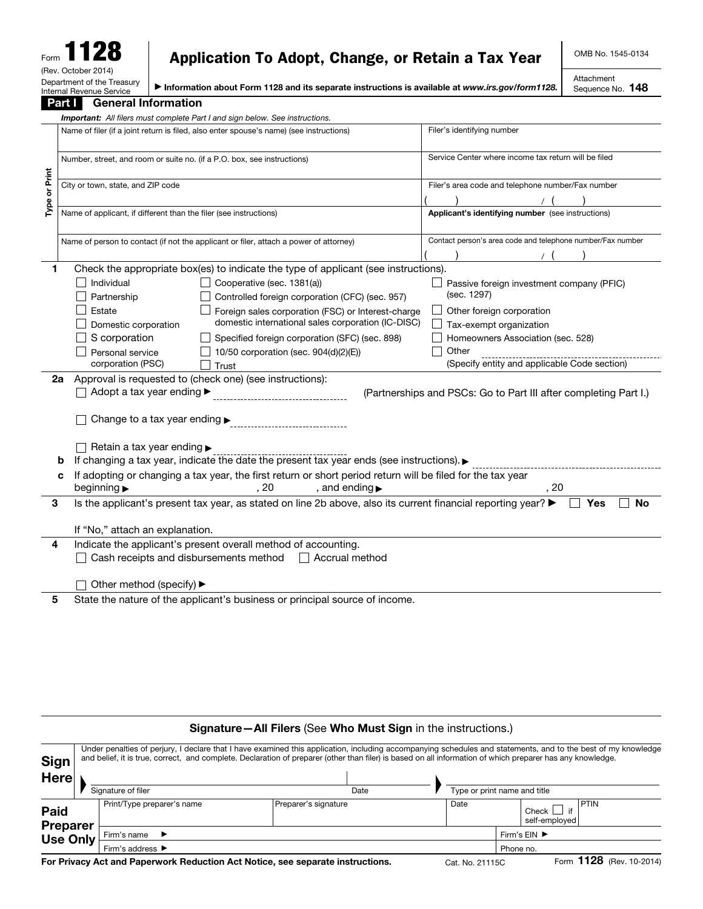| ×.<br>$\mathbf{z}$<br>Form                             |  |  |  |  |  |  |
|--------------------------------------------------------|--|--|--|--|--|--|
| (Rev. October 2014)                                    |  |  |  |  |  |  |
| Department of the Treasury<br>Internal Revenue Service |  |  |  |  |  |  |

## Application To Adopt, Change, or Retain a Tax Year

OMB No. 1545-0134

▶ Information about Form 1128 and its separate instructions is available at *www.irs.gov/form1128.*

Attachment Sequence No. 148

|               | <u>Part T</u><br><b>General Information</b>                                                                     |                                                                  |  |  |  |  |  |  |  |
|---------------|-----------------------------------------------------------------------------------------------------------------|------------------------------------------------------------------|--|--|--|--|--|--|--|
|               | <b>Important:</b> All filers must complete Part I and sign below. See instructions.                             |                                                                  |  |  |  |  |  |  |  |
|               | Name of filer (if a joint return is filed, also enter spouse's name) (see instructions)                         | Filer's identifying number                                       |  |  |  |  |  |  |  |
|               | Number, street, and room or suite no. (if a P.O. box, see instructions)                                         | Service Center where income tax return will be filed             |  |  |  |  |  |  |  |
| Type or Print | City or town, state, and ZIP code                                                                               | Filer's area code and telephone number/Fax number                |  |  |  |  |  |  |  |
|               | Name of applicant, if different than the filer (see instructions)                                               | Applicant's identifying number (see instructions)                |  |  |  |  |  |  |  |
|               | Name of person to contact (if not the applicant or filer, attach a power of attorney)                           | Contact person's area code and telephone number/Fax number       |  |  |  |  |  |  |  |
| 1             | Check the appropriate box(es) to indicate the type of applicant (see instructions).                             |                                                                  |  |  |  |  |  |  |  |
|               | Individual<br>Cooperative (sec. 1381(a))<br>Partnership<br>Controlled foreign corporation (CFC) (sec. 957)      | Passive foreign investment company (PFIC)<br>(sec. 1297)         |  |  |  |  |  |  |  |
|               | Estate<br>Foreign sales corporation (FSC) or Interest-charge                                                    | Other foreign corporation                                        |  |  |  |  |  |  |  |
|               | domestic international sales corporation (IC-DISC)<br>Domestic corporation                                      | Tax-exempt organization                                          |  |  |  |  |  |  |  |
|               | S corporation<br>Specified foreign corporation (SFC) (sec. 898)                                                 | Homeowners Association (sec. 528)                                |  |  |  |  |  |  |  |
|               | Personal service<br>10/50 corporation (sec. 904(d)(2)(E))                                                       | Other                                                            |  |  |  |  |  |  |  |
|               | corporation (PSC)<br>Trust                                                                                      | (Specify entity and applicable Code section)                     |  |  |  |  |  |  |  |
|               | Approval is requested to (check one) (see instructions):<br>2a                                                  |                                                                  |  |  |  |  |  |  |  |
|               | Adopt a tax year ending ▶                                                                                       | (Partnerships and PSCs: Go to Part III after completing Part I.) |  |  |  |  |  |  |  |
|               | Change to a tax year ending ►                                                                                   |                                                                  |  |  |  |  |  |  |  |
|               | Retain a tax year ending ►                                                                                      |                                                                  |  |  |  |  |  |  |  |
|               | If changing a tax year, indicate the date the present tax year ends (see instructions).                         |                                                                  |  |  |  |  |  |  |  |
|               | If adopting or changing a tax year, the first return or short period return will be filed for the tax year<br>c |                                                                  |  |  |  |  |  |  |  |
|               | , 20<br>beginning $\blacktriangleright$<br>, and ending $\blacktriangleright$                                   | . 20                                                             |  |  |  |  |  |  |  |
| 3             | Is the applicant's present tax year, as stated on line 2b above, also its current financial reporting year? ▶   | <b>No</b><br>Yes                                                 |  |  |  |  |  |  |  |
|               | If "No," attach an explanation.                                                                                 |                                                                  |  |  |  |  |  |  |  |
| 4             | Indicate the applicant's present overall method of accounting.                                                  |                                                                  |  |  |  |  |  |  |  |
|               | Cash receipts and disbursements method □ Accrual method                                                         |                                                                  |  |  |  |  |  |  |  |
|               |                                                                                                                 |                                                                  |  |  |  |  |  |  |  |
|               | Other method (specify) ▶                                                                                        |                                                                  |  |  |  |  |  |  |  |
| 5             | State the nature of the applicant's business or principal source of income.                                     |                                                                  |  |  |  |  |  |  |  |
|               |                                                                                                                 |                                                                  |  |  |  |  |  |  |  |

## Signature—All Filers (See Who Must Sign in the instructions.)

| <b>Sign</b>                    | Under penalties of perjury, I declare that I have examined this application, including accompanying schedules and statements, and to the best of my knowledge<br>and belief, it is true, correct, and complete. Declaration of preparer (other than filer) is based on all information of which preparer has any knowledge. |                      |  |                              |  |                          |               |
|--------------------------------|-----------------------------------------------------------------------------------------------------------------------------------------------------------------------------------------------------------------------------------------------------------------------------------------------------------------------------|----------------------|--|------------------------------|--|--------------------------|---------------|
| <b>Here</b>                    | Signature of filer                                                                                                                                                                                                                                                                                                          | Date                 |  | Type or print name and title |  |                          |               |
| <b>Paid</b><br><b>Preparer</b> | Print/Type preparer's name                                                                                                                                                                                                                                                                                                  | Preparer's signature |  | Date                         |  | Check I<br>self-employed | <b>PTIN</b>   |
| <b>Use Only</b>                | Firm's name $\blacktriangleright$                                                                                                                                                                                                                                                                                           |                      |  | Firm's EIN ▶<br>Phone no.    |  |                          |               |
|                                | Firm's address ▶                                                                                                                                                                                                                                                                                                            |                      |  |                              |  |                          |               |
|                                |                                                                                                                                                                                                                                                                                                                             |                      |  |                              |  |                          | $-4100 - 100$ |

For Privacy Act and Paperwork Reduction Act Notice, see separate instructions. Cat. No. 21115C Form 1128 (Rev. 10-2014)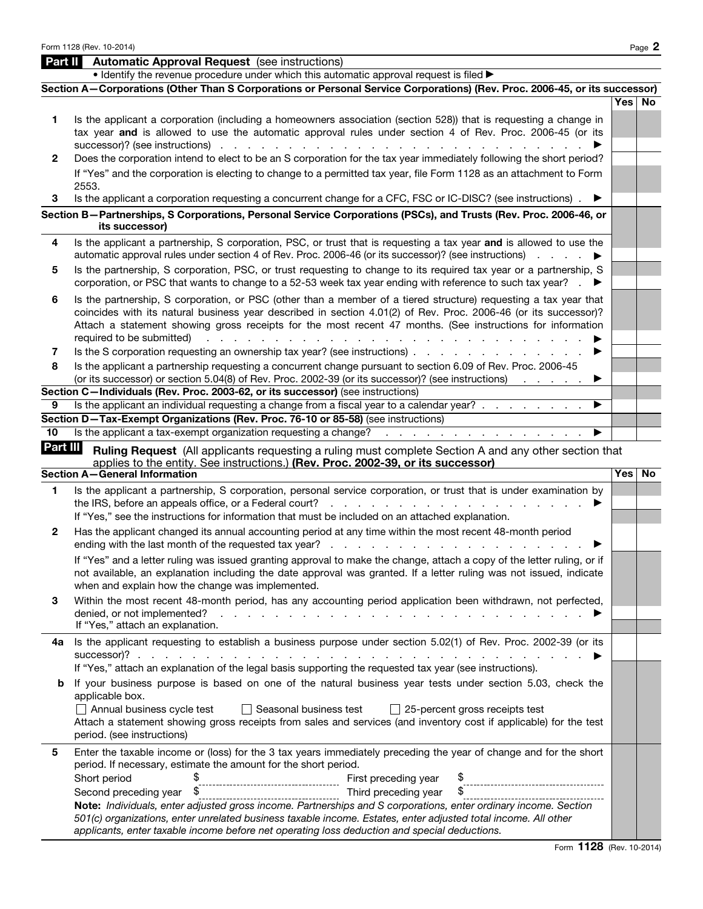| Part II<br>1. | <b>Automatic Approval Request</b> (see instructions)<br>• Identify the revenue procedure under which this automatic approval request is filed ><br>Section A-Corporations (Other Than S Corporations or Personal Service Corporations) (Rev. Proc. 2006-45, or its successor)<br>Is the applicant a corporation (including a homeowners association (section 528)) that is requesting a change in<br>tax year and is allowed to use the automatic approval rules under section 4 of Rev. Proc. 2006-45 (or its |          |
|---------------|----------------------------------------------------------------------------------------------------------------------------------------------------------------------------------------------------------------------------------------------------------------------------------------------------------------------------------------------------------------------------------------------------------------------------------------------------------------------------------------------------------------|----------|
|               |                                                                                                                                                                                                                                                                                                                                                                                                                                                                                                                |          |
|               |                                                                                                                                                                                                                                                                                                                                                                                                                                                                                                                |          |
|               |                                                                                                                                                                                                                                                                                                                                                                                                                                                                                                                |          |
|               |                                                                                                                                                                                                                                                                                                                                                                                                                                                                                                                | Yes No   |
|               | successor)? (see instructions).<br>$\mathcal{L} = \mathcal{L}$<br>and the company                                                                                                                                                                                                                                                                                                                                                                                                                              |          |
| 2             | Does the corporation intend to elect to be an S corporation for the tax year immediately following the short period?                                                                                                                                                                                                                                                                                                                                                                                           |          |
|               | If "Yes" and the corporation is electing to change to a permitted tax year, file Form 1128 as an attachment to Form<br>2553.                                                                                                                                                                                                                                                                                                                                                                                   |          |
| 3             | Is the applicant a corporation requesting a concurrent change for a CFC, FSC or IC-DISC? (see instructions).                                                                                                                                                                                                                                                                                                                                                                                                   |          |
|               | Section B-Partnerships, S Corporations, Personal Service Corporations (PSCs), and Trusts (Rev. Proc. 2006-46, or<br>its successor)                                                                                                                                                                                                                                                                                                                                                                             |          |
| 4             | Is the applicant a partnership, S corporation, PSC, or trust that is requesting a tax year and is allowed to use the<br>automatic approval rules under section 4 of Rev. Proc. 2006-46 (or its successor)? (see instructions)                                                                                                                                                                                                                                                                                  |          |
| 5             | Is the partnership, S corporation, PSC, or trust requesting to change to its required tax year or a partnership, S<br>corporation, or PSC that wants to change to a 52-53 week tax year ending with reference to such tax year?                                                                                                                                                                                                                                                                                |          |
| 6             | Is the partnership, S corporation, or PSC (other than a member of a tiered structure) requesting a tax year that<br>coincides with its natural business year described in section 4.01(2) of Rev. Proc. 2006-46 (or its successor)?<br>Attach a statement showing gross receipts for the most recent 47 months. (See instructions for information<br>required to be submitted)                                                                                                                                 |          |
| 7             | Is the S corporation requesting an ownership tax year? (see instructions)                                                                                                                                                                                                                                                                                                                                                                                                                                      |          |
| 8             | Is the applicant a partnership requesting a concurrent change pursuant to section 6.09 of Rev. Proc. 2006-45<br>(or its successor) or section 5.04(8) of Rev. Proc. 2002-39 (or its successor)? (see instructions)                                                                                                                                                                                                                                                                                             |          |
|               | Section C-Individuals (Rev. Proc. 2003-62, or its successor) (see instructions)                                                                                                                                                                                                                                                                                                                                                                                                                                |          |
| 9             | Is the applicant an individual requesting a change from a fiscal year to a calendar year?                                                                                                                                                                                                                                                                                                                                                                                                                      |          |
|               | Section D-Tax-Exempt Organizations (Rev. Proc. 76-10 or 85-58) (see instructions)                                                                                                                                                                                                                                                                                                                                                                                                                              |          |
| 10            | Is the applicant a tax-exempt organization requesting a change?<br>the contract of the contract of the contract of                                                                                                                                                                                                                                                                                                                                                                                             |          |
| Part III      | Ruling Request (All applicants requesting a ruling must complete Section A and any other section that<br>applies to the entity. See instructions.) (Rev. Proc. 2002-39, or its successor)                                                                                                                                                                                                                                                                                                                      |          |
|               | <b>Section A-General Information</b>                                                                                                                                                                                                                                                                                                                                                                                                                                                                           | Yes   No |
| 1             | Is the applicant a partnership, S corporation, personal service corporation, or trust that is under examination by<br>the IRS, before an appeals office, or a Federal court?                                                                                                                                                                                                                                                                                                                                   |          |
|               | If "Yes," see the instructions for information that must be included on an attached explanation.                                                                                                                                                                                                                                                                                                                                                                                                               |          |
| 2             | Has the applicant changed its annual accounting period at any time within the most recent 48-month period<br>ending with the last month of the requested tax year?                                                                                                                                                                                                                                                                                                                                             |          |
|               | If "Yes" and a letter ruling was issued granting approval to make the change, attach a copy of the letter ruling, or if<br>not available, an explanation including the date approval was granted. If a letter ruling was not issued, indicate<br>when and explain how the change was implemented.                                                                                                                                                                                                              |          |
| 3             | Within the most recent 48-month period, has any accounting period application been withdrawn, not perfected,<br>denied, or not implemented?<br>de la caractería de la caractería de la caractería de la caractería de la caractería<br>If "Yes," attach an explanation.                                                                                                                                                                                                                                        |          |
| 4а            | Is the applicant requesting to establish a business purpose under section 5.02(1) of Rev. Proc. 2002-39 (or its                                                                                                                                                                                                                                                                                                                                                                                                |          |
| b             | If "Yes," attach an explanation of the legal basis supporting the requested tax year (see instructions).<br>If your business purpose is based on one of the natural business year tests under section 5.03, check the                                                                                                                                                                                                                                                                                          |          |
|               | applicable box.<br>Annual business cycle test<br>$\Box$ Seasonal business test<br>$\Box$ 25-percent gross receipts test                                                                                                                                                                                                                                                                                                                                                                                        |          |
|               | Attach a statement showing gross receipts from sales and services (and inventory cost if applicable) for the test<br>period. (see instructions)                                                                                                                                                                                                                                                                                                                                                                |          |
| 5             | Enter the taxable income or (loss) for the 3 tax years immediately preceding the year of change and for the short<br>period. If necessary, estimate the amount for the short period.                                                                                                                                                                                                                                                                                                                           |          |
|               | Short period<br>First preceding year<br>------------------------------------                                                                                                                                                                                                                                                                                                                                                                                                                                   |          |
|               | \$<br>Second preceding year<br>Third preceding year<br>-------------------------------------                                                                                                                                                                                                                                                                                                                                                                                                                   |          |
|               | Note: Individuals, enter adjusted gross income. Partnerships and S corporations, enter ordinary income. Section<br>501(c) organizations, enter unrelated business taxable income. Estates, enter adjusted total income. All other<br>applicants, enter taxable income before net operating loss deduction and special deductions.                                                                                                                                                                              |          |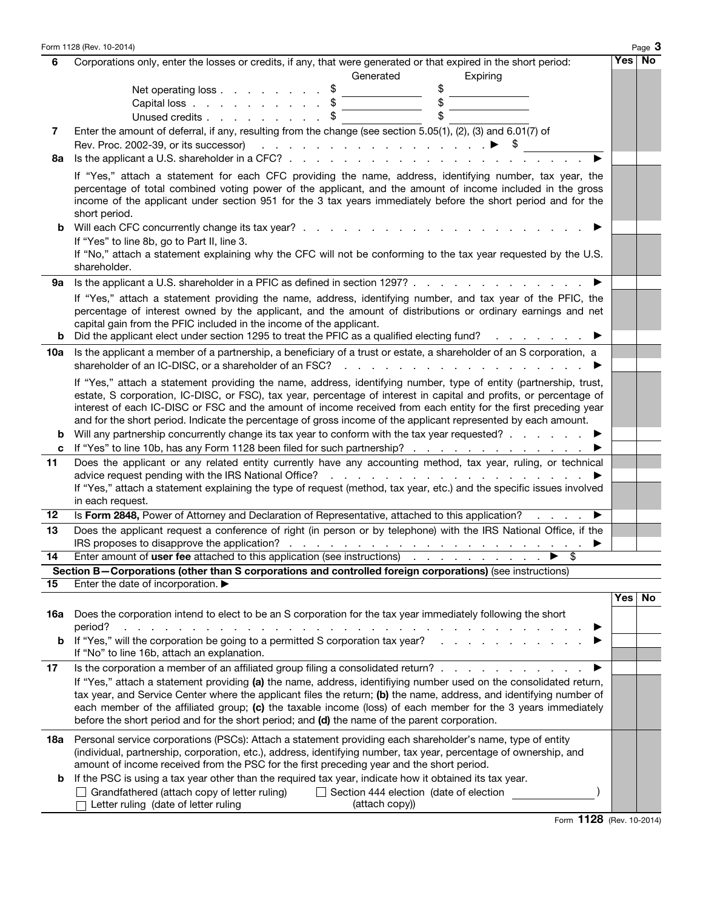|     | Form 1128 (Rev. 10-2014)                                                                                                                                                                                                                                                                                                                                                                                                                                                     |        | Page 3 |
|-----|------------------------------------------------------------------------------------------------------------------------------------------------------------------------------------------------------------------------------------------------------------------------------------------------------------------------------------------------------------------------------------------------------------------------------------------------------------------------------|--------|--------|
| 6   | Corporations only, enter the losses or credits, if any, that were generated or that expired in the short period:                                                                                                                                                                                                                                                                                                                                                             | Yes No |        |
|     | Generated<br>Expiring                                                                                                                                                                                                                                                                                                                                                                                                                                                        |        |        |
|     | \$<br>Net operating loss                                                                                                                                                                                                                                                                                                                                                                                                                                                     |        |        |
|     | Capital loss                                                                                                                                                                                                                                                                                                                                                                                                                                                                 |        |        |
|     | \$<br>\$<br>Unused credits                                                                                                                                                                                                                                                                                                                                                                                                                                                   |        |        |
| 7   | Enter the amount of deferral, if any, resulting from the change (see section 5.05(1), (2), (3) and 6.01(7) of                                                                                                                                                                                                                                                                                                                                                                |        |        |
|     | Rev. Proc. 2002-39, or its successor) $\cdots$ $\cdots$ $\cdots$ $\cdots$ $\cdots$ $\cdots$ $\cdots$ $\cdots$ $\cdots$                                                                                                                                                                                                                                                                                                                                                       |        |        |
| 8a  | Is the applicant a U.S. shareholder in a CFC? $\ldots$ $\ldots$ $\ldots$ $\ldots$                                                                                                                                                                                                                                                                                                                                                                                            |        |        |
|     | If "Yes," attach a statement for each CFC providing the name, address, identifying number, tax year, the<br>percentage of total combined voting power of the applicant, and the amount of income included in the gross<br>income of the applicant under section 951 for the 3 tax years immediately before the short period and for the<br>short period.                                                                                                                     |        |        |
| b   |                                                                                                                                                                                                                                                                                                                                                                                                                                                                              |        |        |
|     | If "Yes" to line 8b, go to Part II, line 3.<br>If "No," attach a statement explaining why the CFC will not be conforming to the tax year requested by the U.S.<br>shareholder.                                                                                                                                                                                                                                                                                               |        |        |
| 9а  | Is the applicant a U.S. shareholder in a PFIC as defined in section 1297?                                                                                                                                                                                                                                                                                                                                                                                                    |        |        |
|     | If "Yes," attach a statement providing the name, address, identifying number, and tax year of the PFIC, the                                                                                                                                                                                                                                                                                                                                                                  |        |        |
|     | percentage of interest owned by the applicant, and the amount of distributions or ordinary earnings and net<br>capital gain from the PFIC included in the income of the applicant.<br><b>b</b> Did the applicant elect under section 1295 to treat the PFIC as a qualified electing fund?                                                                                                                                                                                    |        |        |
|     | Is the applicant a member of a partnership, a beneficiary of a trust or estate, a shareholder of an S corporation, a                                                                                                                                                                                                                                                                                                                                                         |        |        |
| 10a | shareholder of an IC-DISC, or a shareholder of an FSC?<br>the contract of the contract of the contract of the contract of the contract of the contract of the contract of                                                                                                                                                                                                                                                                                                    |        |        |
|     | If "Yes," attach a statement providing the name, address, identifying number, type of entity (partnership, trust,<br>estate, S corporation, IC-DISC, or FSC), tax year, percentage of interest in capital and profits, or percentage of<br>interest of each IC-DISC or FSC and the amount of income received from each entity for the first preceding year<br>and for the short period. Indicate the percentage of gross income of the applicant represented by each amount. |        |        |
| b   | Will any partnership concurrently change its tax year to conform with the tax year requested? $\ldots$ $\ldots$                                                                                                                                                                                                                                                                                                                                                              |        |        |
| c   | If "Yes" to line 10b, has any Form 1128 been filed for such partnership?                                                                                                                                                                                                                                                                                                                                                                                                     |        |        |
| 11  | Does the applicant or any related entity currently have any accounting method, tax year, ruling, or technical<br>If "Yes," attach a statement explaining the type of request (method, tax year, etc.) and the specific issues involved                                                                                                                                                                                                                                       |        |        |
|     | in each request.                                                                                                                                                                                                                                                                                                                                                                                                                                                             |        |        |
| 12  | Is Form 2848, Power of Attorney and Declaration of Representative, attached to this application?<br>▶                                                                                                                                                                                                                                                                                                                                                                        |        |        |
| 13  | Does the applicant request a conference of right (in person or by telephone) with the IRS National Office, if the                                                                                                                                                                                                                                                                                                                                                            |        |        |
| 14  |                                                                                                                                                                                                                                                                                                                                                                                                                                                                              |        |        |
|     | Section B-Corporations (other than S corporations and controlled foreign corporations) (see instructions)                                                                                                                                                                                                                                                                                                                                                                    |        |        |
| 15  | Enter the date of incorporation.                                                                                                                                                                                                                                                                                                                                                                                                                                             |        |        |
|     |                                                                                                                                                                                                                                                                                                                                                                                                                                                                              | Yes    | No     |
| 16a | Does the corporation intend to elect to be an S corporation for the tax year immediately following the short<br>period?<br>and the contract of the contract of the contract of the contract of the contract of the contract of                                                                                                                                                                                                                                               |        |        |
|     | <b>b</b> If "Yes," will the corporation be going to a permitted S corporation tax year?<br>If "No" to line 16b, attach an explanation.                                                                                                                                                                                                                                                                                                                                       |        |        |
| 17  | Is the corporation a member of an affiliated group filing a consolidated return?                                                                                                                                                                                                                                                                                                                                                                                             |        |        |
|     | If "Yes," attach a statement providing (a) the name, address, identifiying number used on the consolidated return,<br>tax year, and Service Center where the applicant files the return; (b) the name, address, and identifying number of<br>each member of the affiliated group; (c) the taxable income (loss) of each member for the 3 years immediately<br>before the short period and for the short period; and (d) the name of the parent corporation.                  |        |        |
|     | 18a Personal service corporations (PSCs): Attach a statement providing each shareholder's name, type of entity<br>(individual, partnership, corporation, etc.), address, identifying number, tax year, percentage of ownership, and<br>amount of income received from the PSC for the first preceding year and the short period.                                                                                                                                             |        |        |
| b   | If the PSC is using a tax year other than the required tax year, indicate how it obtained its tax year.<br>Grandfathered (attach copy of letter ruling)<br>$\Box$ Section 444 election (date of election<br>Letter ruling (date of letter ruling<br>(attach copy))                                                                                                                                                                                                           |        |        |
|     |                                                                                                                                                                                                                                                                                                                                                                                                                                                                              |        |        |

Form 1128 (Rev. 10-2014)